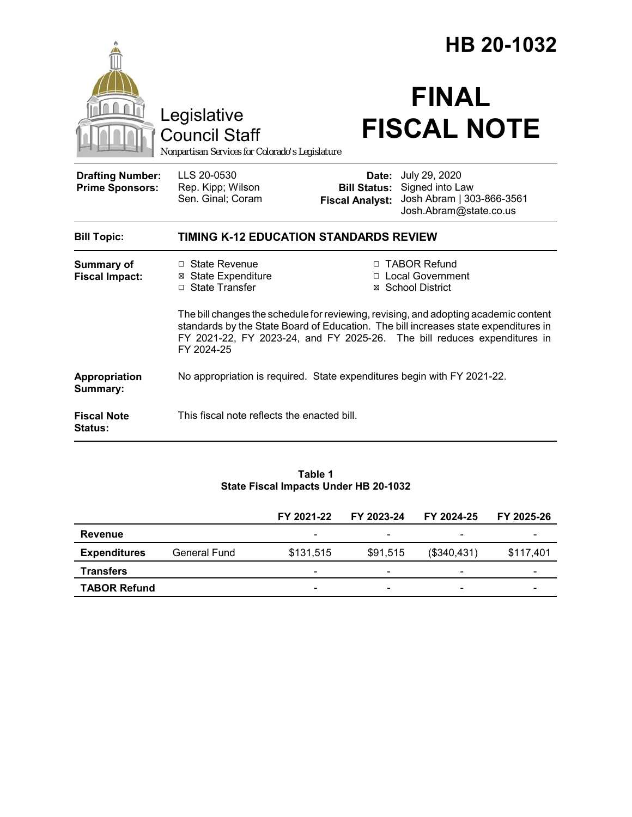|                                                   |                                                                                                                                                                                                                                                                       | HB 20-1032                                    |                                                                                                      |  |  |  |
|---------------------------------------------------|-----------------------------------------------------------------------------------------------------------------------------------------------------------------------------------------------------------------------------------------------------------------------|-----------------------------------------------|------------------------------------------------------------------------------------------------------|--|--|--|
|                                                   | Legislative<br><b>Council Staff</b><br>Nonpartisan Services for Colorado's Legislature                                                                                                                                                                                |                                               | <b>FINAL</b><br><b>FISCAL NOTE</b>                                                                   |  |  |  |
| <b>Drafting Number:</b><br><b>Prime Sponsors:</b> | LLS 20-0530<br>Rep. Kipp; Wilson<br>Sen. Ginal; Coram                                                                                                                                                                                                                 | <b>Bill Status:</b><br><b>Fiscal Analyst:</b> | <b>Date:</b> July 29, 2020<br>Signed into Law<br>Josh Abram   303-866-3561<br>Josh.Abram@state.co.us |  |  |  |
| <b>Bill Topic:</b>                                | <b>TIMING K-12 EDUCATION STANDARDS REVIEW</b>                                                                                                                                                                                                                         |                                               |                                                                                                      |  |  |  |
| <b>Summary of</b><br><b>Fiscal Impact:</b>        | $\Box$ State Revenue<br><b>⊠</b> State Expenditure<br>$\Box$ State Transfer                                                                                                                                                                                           |                                               | □ TABOR Refund<br>□ Local Government<br>⊠ School District                                            |  |  |  |
|                                                   | The bill changes the schedule for reviewing, revising, and adopting academic content<br>standards by the State Board of Education. The bill increases state expenditures in<br>FY 2021-22, FY 2023-24, and FY 2025-26. The bill reduces expenditures in<br>FY 2024-25 |                                               |                                                                                                      |  |  |  |
| Appropriation<br>Summary:                         | No appropriation is required. State expenditures begin with FY 2021-22.                                                                                                                                                                                               |                                               |                                                                                                      |  |  |  |
| <b>Fiscal Note</b><br><b>Status:</b>              | This fiscal note reflects the enacted bill.                                                                                                                                                                                                                           |                                               |                                                                                                      |  |  |  |

#### **Table 1 State Fiscal Impacts Under HB 20-1032**

|                     |              | FY 2021-22               | FY 2023-24               | FY 2024-25  | FY 2025-26 |
|---------------------|--------------|--------------------------|--------------------------|-------------|------------|
| Revenue             |              | $\overline{\phantom{0}}$ | $\overline{\phantom{0}}$ |             |            |
| <b>Expenditures</b> | General Fund | \$131,515                | \$91,515                 | (\$340,431) | \$117,401  |
| <b>Transfers</b>    |              | $\overline{\phantom{a}}$ | -                        |             | -          |
| <b>TABOR Refund</b> |              | $\overline{\phantom{a}}$ |                          |             |            |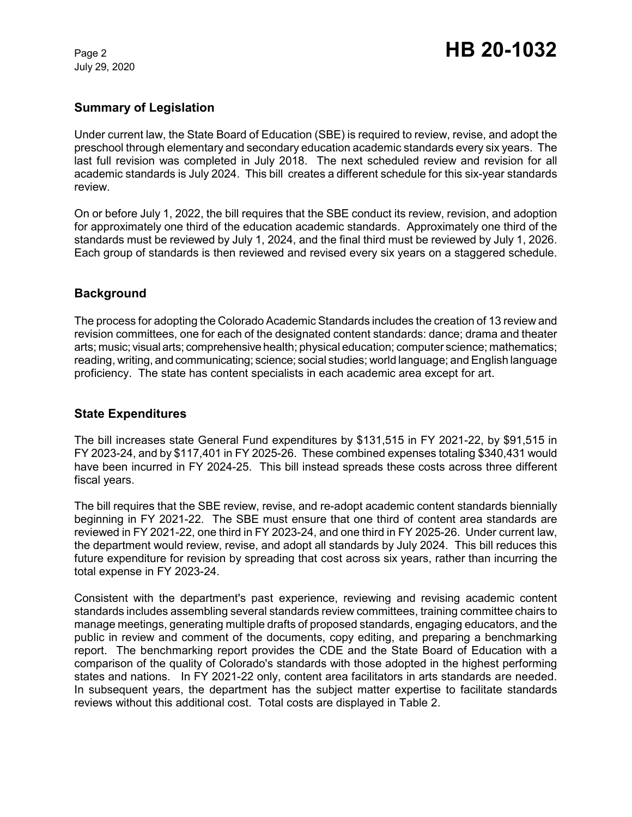July 29, 2020

# **Summary of Legislation**

Under current law, the State Board of Education (SBE) is required to review, revise, and adopt the preschool through elementary and secondary education academic standards every six years. The last full revision was completed in July 2018. The next scheduled review and revision for all academic standards is July 2024. This bill creates a different schedule for this six-year standards review.

On or before July 1, 2022, the bill requires that the SBE conduct its review, revision, and adoption for approximately one third of the education academic standards. Approximately one third of the standards must be reviewed by July 1, 2024, and the final third must be reviewed by July 1, 2026. Each group of standards is then reviewed and revised every six years on a staggered schedule.

# **Background**

The process for adopting the Colorado Academic Standards includes the creation of 13 review and revision committees, one for each of the designated content standards: dance; drama and theater arts; music; visual arts; comprehensive health; physical education; computer science; mathematics; reading, writing, and communicating; science; social studies; world language; and English language proficiency. The state has content specialists in each academic area except for art.

### **State Expenditures**

The bill increases state General Fund expenditures by \$131,515 in FY 2021-22, by \$91,515 in FY 2023-24, and by \$117,401 in FY 2025-26. These combined expenses totaling \$340,431 would have been incurred in FY 2024-25. This bill instead spreads these costs across three different fiscal years.

The bill requires that the SBE review, revise, and re-adopt academic content standards biennially beginning in FY 2021-22. The SBE must ensure that one third of content area standards are reviewed in FY 2021-22, one third in FY 2023-24, and one third in FY 2025-26. Under current law, the department would review, revise, and adopt all standards by July 2024. This bill reduces this future expenditure for revision by spreading that cost across six years, rather than incurring the total expense in FY 2023-24.

Consistent with the department's past experience, reviewing and revising academic content standards includes assembling several standards review committees, training committee chairs to manage meetings, generating multiple drafts of proposed standards, engaging educators, and the public in review and comment of the documents, copy editing, and preparing a benchmarking report. The benchmarking report provides the CDE and the State Board of Education with a comparison of the quality of Colorado's standards with those adopted in the highest performing states and nations. In FY 2021-22 only, content area facilitators in arts standards are needed. In subsequent years, the department has the subject matter expertise to facilitate standards reviews without this additional cost. Total costs are displayed in Table 2.